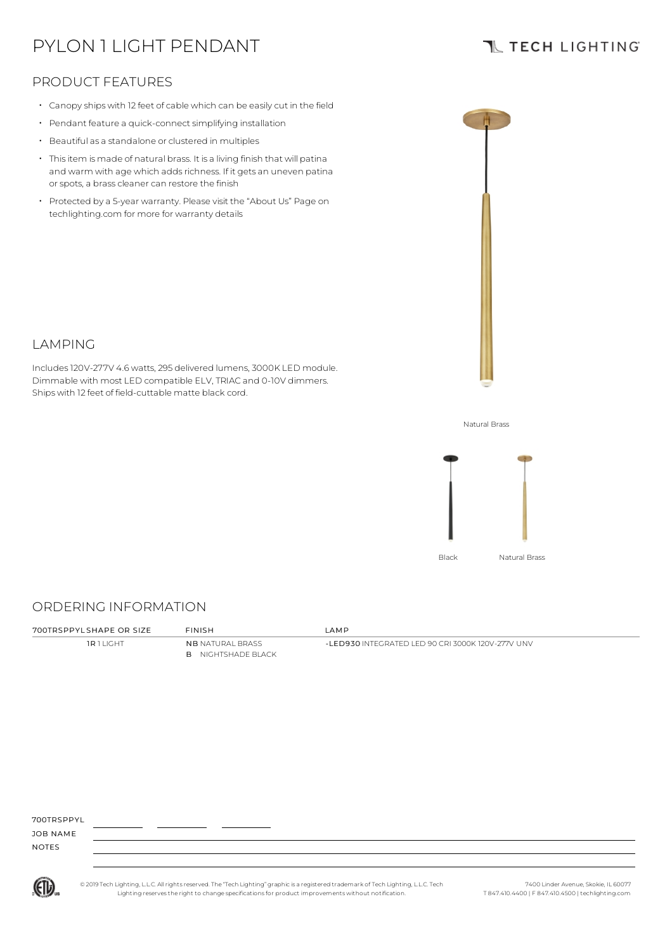# PYLON 1 LIGHT PENDANT

## **TL TECH LIGHTING**

## PRODUCT FEATURES

- Canopy ships with 12 feet of cable which can be easily cut in the field
- Pendant feature a quick-connect simplifying installation
- Beautiful as a standalone or clustered in multiples
- Thisitem is made of natural brass. It is a living finish that will patina and warm with age which adds richness. If it gets an uneven patina or spots, a brass cleaner can restore the finish
- Protected by a 5-year warranty. Please visit the "About Us" Page on techlighting.com for more for warranty details



#### LAMPING

Includes120V-277V 4.6 watts, 295 delivered lumens, 3000K LED module. Dimmable with most LED compatible ELV, TRIAC and 0-10V dimmers. Ships with 12 feet of field-cuttable matte black cord.

Natural Brass



## ORDERING INFORMATION

700TRSPPYL SHAPE OR SIZE FINISH LAMP

**1R 1 LIGHT NB NATURAL BRASS** B NIGHTSHADE BLACK

-LED930 INTEGRATED LED 90 CRI 3000K 120V-277V UNV

700TRSPPYL

JOB NAME NOTES



© 2019 Tech Lighting, L.L.C. All rightsreserved. The "Tech Lighting" graphicis a registered trademark of Tech Lighting, L.L.C. Tech Lighting reservesthe right to change specificationsfor product improvements without notification.

7400 Linder Avenue, Skokie, IL 60077 T 847.410.4400 | F 847.410.4500 | techlighting.com